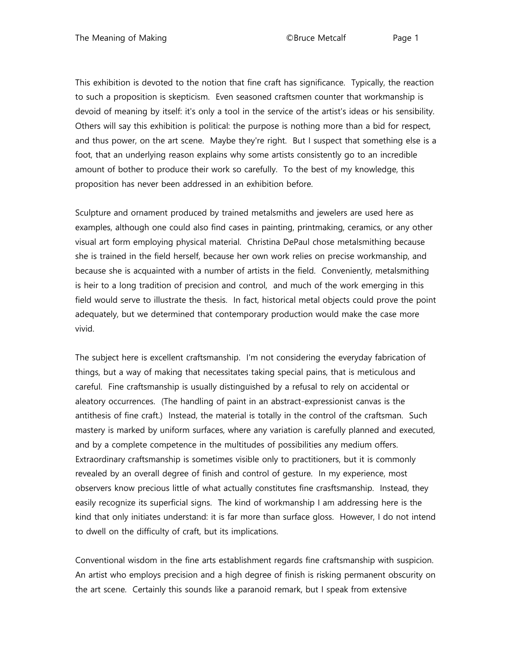This exhibition is devoted to the notion that fine craft has significance. Typically, the reaction to such a proposition is skepticism. Even seasoned craftsmen counter that workmanship is devoid of meaning by itself: it's only a tool in the service of the artist's ideas or his sensibility. Others will say this exhibition is political: the purpose is nothing more than a bid for respect, and thus power, on the art scene. Maybe they're right. But I suspect that something else is a foot, that an underlying reason explains why some artists consistently go to an incredible amount of bother to produce their work so carefully. To the best of my knowledge, this proposition has never been addressed in an exhibition before.

Sculpture and ornament produced by trained metalsmiths and jewelers are used here as examples, although one could also find cases in painting, printmaking, ceramics, or any other visual art form employing physical material. Christina DePaul chose metalsmithing because she is trained in the field herself, because her own work relies on precise workmanship, and because she is acquainted with a number of artists in the field. Conveniently, metalsmithing is heir to a long tradition of precision and control, and much of the work emerging in this field would serve to illustrate the thesis. In fact, historical metal objects could prove the point adequately, but we determined that contemporary production would make the case more vivid.

The subject here is excellent craftsmanship. I'm not considering the everyday fabrication of things, but a way of making that necessitates taking special pains, that is meticulous and careful. Fine craftsmanship is usually distinguished by a refusal to rely on accidental or aleatory occurrences. (The handling of paint in an abstract-expressionist canvas is the antithesis of fine craft.) Instead, the material is totally in the control of the craftsman. Such mastery is marked by uniform surfaces, where any variation is carefully planned and executed, and by a complete competence in the multitudes of possibilities any medium offers. Extraordinary craftsmanship is sometimes visible only to practitioners, but it is commonly revealed by an overall degree of finish and control of gesture. In my experience, most observers know precious little of what actually constitutes fine crasftsmanship. Instead, they easily recognize its superficial signs. The kind of workmanship I am addressing here is the kind that only initiates understand: it is far more than surface gloss. However, I do not intend to dwell on the difficulty of craft, but its implications.

Conventional wisdom in the fine arts establishment regards fine craftsmanship with suspicion. An artist who employs precision and a high degree of finish is risking permanent obscurity on the art scene. Certainly this sounds like a paranoid remark, but I speak from extensive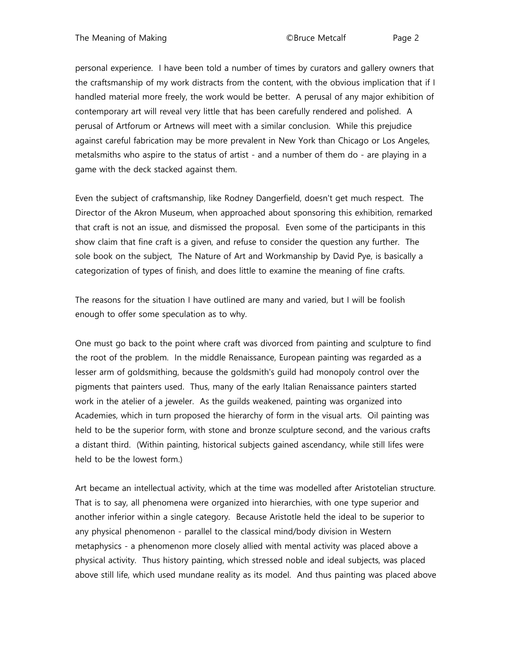personal experience. I have been told a number of times by curators and gallery owners that the craftsmanship of my work distracts from the content, with the obvious implication that if I handled material more freely, the work would be better. A perusal of any major exhibition of contemporary art will reveal very little that has been carefully rendered and polished. A perusal of Artforum or Artnews will meet with a similar conclusion. While this prejudice against careful fabrication may be more prevalent in New York than Chicago or Los Angeles, metalsmiths who aspire to the status of artist - and a number of them do - are playing in a game with the deck stacked against them.

Even the subject of craftsmanship, like Rodney Dangerfield, doesn't get much respect. The Director of the Akron Museum, when approached about sponsoring this exhibition, remarked that craft is not an issue, and dismissed the proposal. Even some of the participants in this show claim that fine craft is a given, and refuse to consider the question any further. The sole book on the subject, The Nature of Art and Workmanship by David Pye, is basically a categorization of types of finish, and does little to examine the meaning of fine crafts.

The reasons for the situation I have outlined are many and varied, but I will be foolish enough to offer some speculation as to why.

One must go back to the point where craft was divorced from painting and sculpture to find the root of the problem. In the middle Renaissance, European painting was regarded as a lesser arm of goldsmithing, because the goldsmith's guild had monopoly control over the pigments that painters used. Thus, many of the early Italian Renaissance painters started work in the atelier of a jeweler. As the guilds weakened, painting was organized into Academies, which in turn proposed the hierarchy of form in the visual arts. Oil painting was held to be the superior form, with stone and bronze sculpture second, and the various crafts a distant third. (Within painting, historical subjects gained ascendancy, while still lifes were held to be the lowest form.)

Art became an intellectual activity, which at the time was modelled after Aristotelian structure. That is to say, all phenomena were organized into hierarchies, with one type superior and another inferior within a single category. Because Aristotle held the ideal to be superior to any physical phenomenon - parallel to the classical mind/body division in Western metaphysics - a phenomenon more closely allied with mental activity was placed above a physical activity. Thus history painting, which stressed noble and ideal subjects, was placed above still life, which used mundane reality as its model. And thus painting was placed above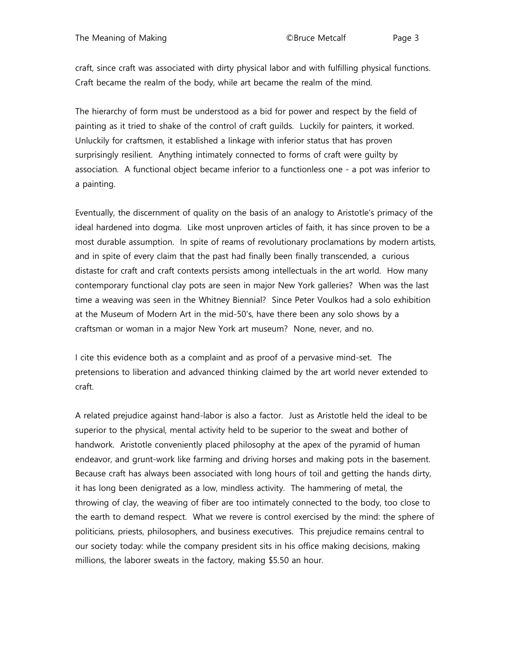craft, since craft was associated with dirty physical labor and with fulfilling physical functions. Craft became the realm of the body, while art became the realm of the mind.

The hierarchy of form must be understood as a bid for power and respect by the field of painting as it tried to shake of the control of craft guilds. Luckily for painters, it worked. Unluckily for craftsmen, it established a linkage with inferior status that has proven surprisingly resilient. Anything intimately connected to forms of craft were guilty by association. A functional object became inferior to a functionless one - a pot was inferior to a painting.

Eventually, the discernment of quality on the basis of an analogy to Aristotle's primacy of the ideal hardened into dogma. Like most unproven articles of faith, it has since proven to be a most durable assumption. In spite of reams of revolutionary proclamations by modern artists, and in spite of every claim that the past had finally been finally transcended, a curious distaste for craft and craft contexts persists among intellectuals in the art world. How many contemporary functional clay pots are seen in major New York galleries? When was the last time a weaving was seen in the Whitney Biennial? Since Peter Voulkos had a solo exhibition at the Museum of Modern Art in the mid-50's, have there been any solo shows by a craftsman or woman in a major New York art museum? None, never, and no.

I cite this evidence both as a complaint and as proof of a pervasive mind-set. The pretensions to liberation and advanced thinking claimed by the art world never extended to craft.

A related prejudice against hand-labor is also a factor. Just as Aristotle held the ideal to be superior to the physical, mental activity held to be superior to the sweat and bother of handwork. Aristotle conveniently placed philosophy at the apex of the pyramid of human endeavor, and grunt-work like farming and driving horses and making pots in the basement. Because craft has always been associated with long hours of toil and getting the hands dirty, it has long been denigrated as a low, mindless activity. The hammering of metal, the throwing of clay, the weaving of fiber are too intimately connected to the body, too close to the earth to demand respect. What we revere is control exercised by the mind: the sphere of politicians, priests, philosophers, and business executives. This prejudice remains central to our society today: while the company president sits in his office making decisions, making millions, the laborer sweats in the factory, making \$5.50 an hour.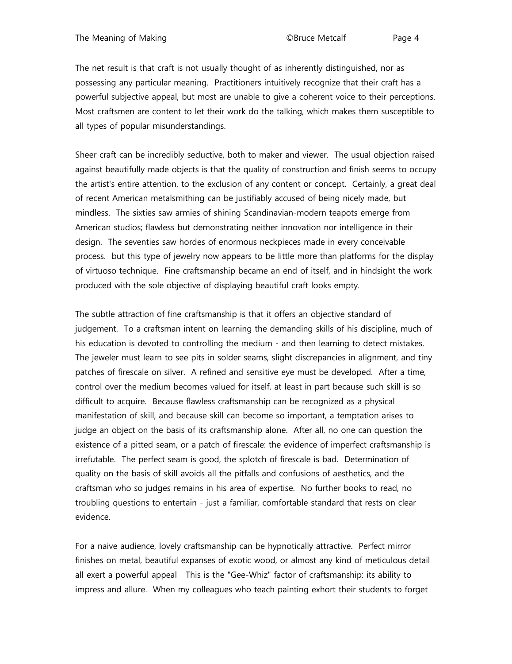The net result is that craft is not usually thought of as inherently distinguished, nor as possessing any particular meaning. Practitioners intuitively recognize that their craft has a powerful subjective appeal, but most are unable to give a coherent voice to their perceptions. Most craftsmen are content to let their work do the talking, which makes them susceptible to all types of popular misunderstandings.

Sheer craft can be incredibly seductive, both to maker and viewer. The usual objection raised against beautifully made objects is that the quality of construction and finish seems to occupy the artist's entire attention, to the exclusion of any content or concept. Certainly, a great deal of recent American metalsmithing can be justifiably accused of being nicely made, but mindless. The sixties saw armies of shining Scandinavian-modern teapots emerge from American studios; flawless but demonstrating neither innovation nor intelligence in their design. The seventies saw hordes of enormous neckpieces made in every conceivable process. but this type of jewelry now appears to be little more than platforms for the display of virtuoso technique. Fine craftsmanship became an end of itself, and in hindsight the work produced with the sole objective of displaying beautiful craft looks empty.

The subtle attraction of fine craftsmanship is that it offers an objective standard of judgement. To a craftsman intent on learning the demanding skills of his discipline, much of his education is devoted to controlling the medium - and then learning to detect mistakes. The jeweler must learn to see pits in solder seams, slight discrepancies in alignment, and tiny patches of firescale on silver. A refined and sensitive eye must be developed. After a time, control over the medium becomes valued for itself, at least in part because such skill is so difficult to acquire. Because flawless craftsmanship can be recognized as a physical manifestation of skill, and because skill can become so important, a temptation arises to judge an object on the basis of its craftsmanship alone. After all, no one can question the existence of a pitted seam, or a patch of firescale: the evidence of imperfect craftsmanship is irrefutable. The perfect seam is good, the splotch of firescale is bad. Determination of quality on the basis of skill avoids all the pitfalls and confusions of aesthetics, and the craftsman who so judges remains in his area of expertise. No further books to read, no troubling questions to entertain - just a familiar, comfortable standard that rests on clear evidence.

For a naive audience, lovely craftsmanship can be hypnotically attractive. Perfect mirror finishes on metal, beautiful expanses of exotic wood, or almost any kind of meticulous detail all exert a powerful appeal This is the "Gee-Whiz" factor of craftsmanship: its ability to impress and allure. When my colleagues who teach painting exhort their students to forget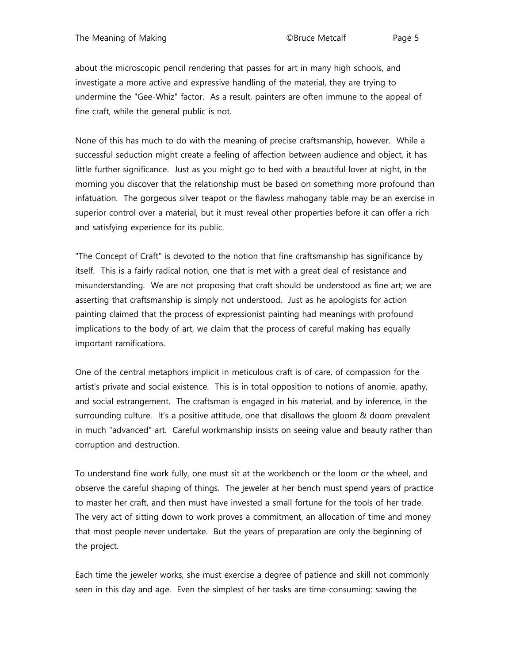about the microscopic pencil rendering that passes for art in many high schools, and investigate a more active and expressive handling of the material, they are trying to undermine the "Gee-Whiz" factor. As a result, painters are often immune to the appeal of fine craft, while the general public is not.

None of this has much to do with the meaning of precise craftsmanship, however. While a successful seduction might create a feeling of affection between audience and object, it has little further significance. Just as you might go to bed with a beautiful lover at night, in the morning you discover that the relationship must be based on something more profound than infatuation. The gorgeous silver teapot or the flawless mahogany table may be an exercise in superior control over a material, but it must reveal other properties before it can offer a rich and satisfying experience for its public.

"The Concept of Craft" is devoted to the notion that fine craftsmanship has significance by itself. This is a fairly radical notion, one that is met with a great deal of resistance and misunderstanding. We are not proposing that craft should be understood as fine art; we are asserting that craftsmanship is simply not understood. Just as he apologists for action painting claimed that the process of expressionist painting had meanings with profound implications to the body of art, we claim that the process of careful making has equally important ramifications.

One of the central metaphors implicit in meticulous craft is of care, of compassion for the artist's private and social existence. This is in total opposition to notions of anomie, apathy, and social estrangement. The craftsman is engaged in his material, and by inference, in the surrounding culture. It's a positive attitude, one that disallows the gloom & doom prevalent in much "advanced" art. Careful workmanship insists on seeing value and beauty rather than corruption and destruction.

To understand fine work fully, one must sit at the workbench or the loom or the wheel, and observe the careful shaping of things. The jeweler at her bench must spend years of practice to master her craft, and then must have invested a small fortune for the tools of her trade. The very act of sitting down to work proves a commitment, an allocation of time and money that most people never undertake. But the years of preparation are only the beginning of the project.

Each time the jeweler works, she must exercise a degree of patience and skill not commonly seen in this day and age. Even the simplest of her tasks are time-consuming: sawing the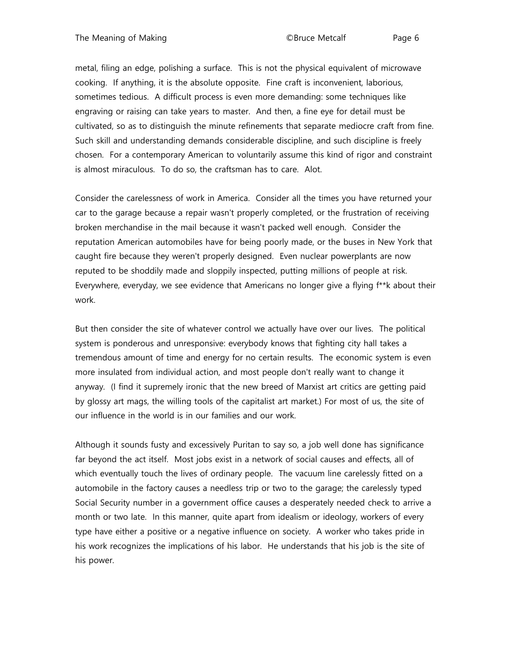metal, filing an edge, polishing a surface. This is not the physical equivalent of microwave cooking. If anything, it is the absolute opposite. Fine craft is inconvenient, laborious, sometimes tedious. A difficult process is even more demanding: some techniques like engraving or raising can take years to master. And then, a fine eye for detail must be cultivated, so as to distinguish the minute refinements that separate mediocre craft from fine. Such skill and understanding demands considerable discipline, and such discipline is freely chosen. For a contemporary American to voluntarily assume this kind of rigor and constraint is almost miraculous. To do so, the craftsman has to care. Alot.

Consider the carelessness of work in America. Consider all the times you have returned your car to the garage because a repair wasn't properly completed, or the frustration of receiving broken merchandise in the mail because it wasn't packed well enough. Consider the reputation American automobiles have for being poorly made, or the buses in New York that caught fire because they weren't properly designed. Even nuclear powerplants are now reputed to be shoddily made and sloppily inspected, putting millions of people at risk. Everywhere, everyday, we see evidence that Americans no longer give a flying f\*\*k about their work.

But then consider the site of whatever control we actually have over our lives. The political system is ponderous and unresponsive: everybody knows that fighting city hall takes a tremendous amount of time and energy for no certain results. The economic system is even more insulated from individual action, and most people don't really want to change it anyway. (I find it supremely ironic that the new breed of Marxist art critics are getting paid by glossy art mags, the willing tools of the capitalist art market.) For most of us, the site of our influence in the world is in our families and our work.

Although it sounds fusty and excessively Puritan to say so, a job well done has significance far beyond the act itself. Most jobs exist in a network of social causes and effects, all of which eventually touch the lives of ordinary people. The vacuum line carelessly fitted on a automobile in the factory causes a needless trip or two to the garage; the carelessly typed Social Security number in a government office causes a desperately needed check to arrive a month or two late. In this manner, quite apart from idealism or ideology, workers of every type have either a positive or a negative influence on society. A worker who takes pride in his work recognizes the implications of his labor. He understands that his job is the site of his power.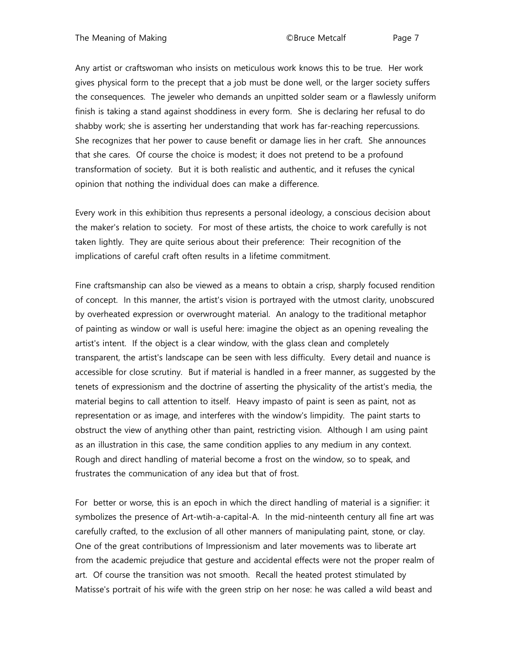Any artist or craftswoman who insists on meticulous work knows this to be true. Her work gives physical form to the precept that a job must be done well, or the larger society suffers the consequences. The jeweler who demands an unpitted solder seam or a flawlessly uniform finish is taking a stand against shoddiness in every form. She is declaring her refusal to do shabby work; she is asserting her understanding that work has far-reaching repercussions. She recognizes that her power to cause benefit or damage lies in her craft. She announces that she cares. Of course the choice is modest; it does not pretend to be a profound transformation of society. But it is both realistic and authentic, and it refuses the cynical opinion that nothing the individual does can make a difference.

Every work in this exhibition thus represents a personal ideology, a conscious decision about the maker's relation to society. For most of these artists, the choice to work carefully is not taken lightly. They are quite serious about their preference: Their recognition of the implications of careful craft often results in a lifetime commitment.

Fine craftsmanship can also be viewed as a means to obtain a crisp, sharply focused rendition of concept. In this manner, the artist's vision is portrayed with the utmost clarity, unobscured by overheated expression or overwrought material. An analogy to the traditional metaphor of painting as window or wall is useful here: imagine the object as an opening revealing the artist's intent. If the object is a clear window, with the glass clean and completely transparent, the artist's landscape can be seen with less difficulty. Every detail and nuance is accessible for close scrutiny. But if material is handled in a freer manner, as suggested by the tenets of expressionism and the doctrine of asserting the physicality of the artist's media, the material begins to call attention to itself. Heavy impasto of paint is seen as paint, not as representation or as image, and interferes with the window's limpidity. The paint starts to obstruct the view of anything other than paint, restricting vision. Although I am using paint as an illustration in this case, the same condition applies to any medium in any context. Rough and direct handling of material become a frost on the window, so to speak, and frustrates the communication of any idea but that of frost.

For better or worse, this is an epoch in which the direct handling of material is a signifier: it symbolizes the presence of Art-wtih-a-capital-A. In the mid-ninteenth century all fine art was carefully crafted, to the exclusion of all other manners of manipulating paint, stone, or clay. One of the great contributions of Impressionism and later movements was to liberate art from the academic prejudice that gesture and accidental effects were not the proper realm of art. Of course the transition was not smooth. Recall the heated protest stimulated by Matisse's portrait of his wife with the green strip on her nose: he was called a wild beast and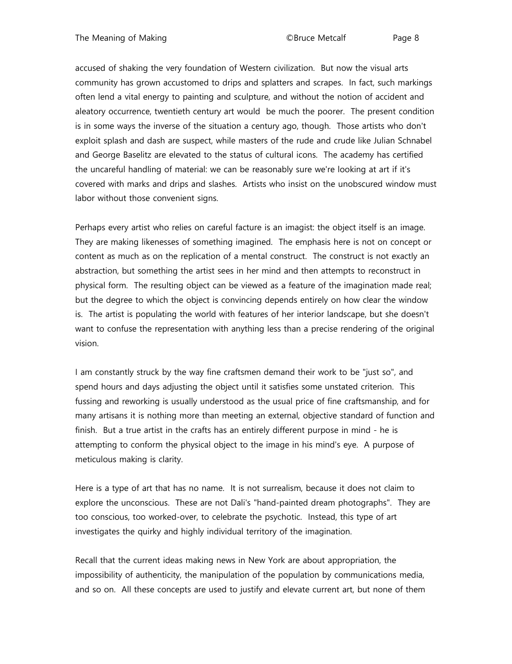accused of shaking the very foundation of Western civilization. But now the visual arts community has grown accustomed to drips and splatters and scrapes. In fact, such markings often lend a vital energy to painting and sculpture, and without the notion of accident and aleatory occurrence, twentieth century art would be much the poorer. The present condition is in some ways the inverse of the situation a century ago, though. Those artists who don't exploit splash and dash are suspect, while masters of the rude and crude like Julian Schnabel and George Baselitz are elevated to the status of cultural icons. The academy has certified the uncareful handling of material: we can be reasonably sure we're looking at art if it's covered with marks and drips and slashes. Artists who insist on the unobscured window must labor without those convenient signs.

Perhaps every artist who relies on careful facture is an imagist: the object itself is an image. They are making likenesses of something imagined. The emphasis here is not on concept or content as much as on the replication of a mental construct. The construct is not exactly an abstraction, but something the artist sees in her mind and then attempts to reconstruct in physical form. The resulting object can be viewed as a feature of the imagination made real; but the degree to which the object is convincing depends entirely on how clear the window is. The artist is populating the world with features of her interior landscape, but she doesn't want to confuse the representation with anything less than a precise rendering of the original vision.

I am constantly struck by the way fine craftsmen demand their work to be "just so", and spend hours and days adjusting the object until it satisfies some unstated criterion. This fussing and reworking is usually understood as the usual price of fine craftsmanship, and for many artisans it is nothing more than meeting an external, objective standard of function and finish. But a true artist in the crafts has an entirely different purpose in mind - he is attempting to conform the physical object to the image in his mind's eye. A purpose of meticulous making is clarity.

Here is a type of art that has no name. It is not surrealism, because it does not claim to explore the unconscious. These are not Dali's "hand-painted dream photographs". They are too conscious, too worked-over, to celebrate the psychotic. Instead, this type of art investigates the quirky and highly individual territory of the imagination.

Recall that the current ideas making news in New York are about appropriation, the impossibility of authenticity, the manipulation of the population by communications media, and so on. All these concepts are used to justify and elevate current art, but none of them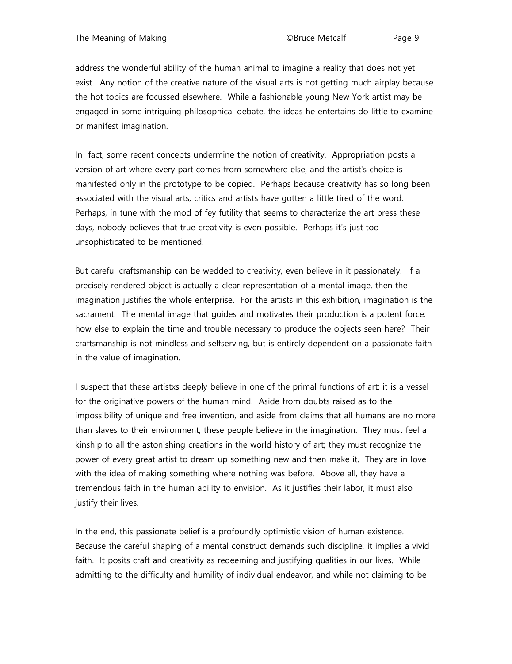address the wonderful ability of the human animal to imagine a reality that does not yet exist. Any notion of the creative nature of the visual arts is not getting much airplay because the hot topics are focussed elsewhere. While a fashionable young New York artist may be engaged in some intriguing philosophical debate, the ideas he entertains do little to examine or manifest imagination.

In fact, some recent concepts undermine the notion of creativity. Appropriation posts a version of art where every part comes from somewhere else, and the artist's choice is manifested only in the prototype to be copied. Perhaps because creativity has so long been associated with the visual arts, critics and artists have gotten a little tired of the word. Perhaps, in tune with the mod of fey futility that seems to characterize the art press these days, nobody believes that true creativity is even possible. Perhaps it's just too unsophisticated to be mentioned.

But careful craftsmanship can be wedded to creativity, even believe in it passionately. If a precisely rendered object is actually a clear representation of a mental image, then the imagination justifies the whole enterprise. For the artists in this exhibition, imagination is the sacrament. The mental image that guides and motivates their production is a potent force: how else to explain the time and trouble necessary to produce the objects seen here? Their craftsmanship is not mindless and selfserving, but is entirely dependent on a passionate faith in the value of imagination.

I suspect that these artistxs deeply believe in one of the primal functions of art: it is a vessel for the originative powers of the human mind. Aside from doubts raised as to the impossibility of unique and free invention, and aside from claims that all humans are no more than slaves to their environment, these people believe in the imagination. They must feel a kinship to all the astonishing creations in the world history of art; they must recognize the power of every great artist to dream up something new and then make it. They are in love with the idea of making something where nothing was before. Above all, they have a tremendous faith in the human ability to envision. As it justifies their labor, it must also justify their lives.

In the end, this passionate belief is a profoundly optimistic vision of human existence. Because the careful shaping of a mental construct demands such discipline, it implies a vivid faith. It posits craft and creativity as redeeming and justifying qualities in our lives. While admitting to the difficulty and humility of individual endeavor, and while not claiming to be